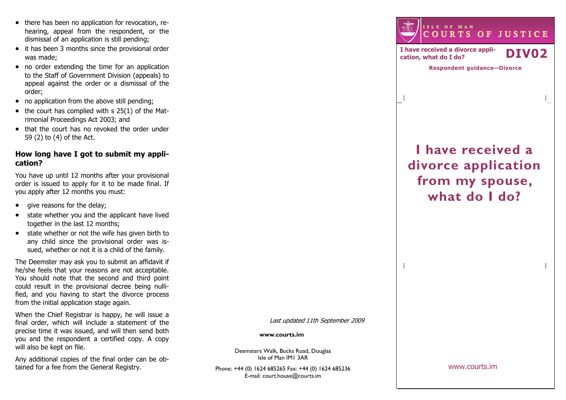- there has been no application for revocation, rehearing, appeal from the respondent, or the dismissal of an application is still pending;
- it has been 3 months since the provisional order was made;
- no order extending the time for an application to the Staff of Government Division (appeals) to appeal against the order or a dismissal of the order;
- no application from the above still pending:
- $\bullet$  the court has complied with s 25(1) of the Matrimonial Proceedings Act 2003; and
- that the court has no revoked the order under S9 (2) to (4) of the Act.

## How long have I got to submit my application?

You have up until 12 months after your provisional order is issued to apply for it to be made final. If you apply after 12 months you must:

- give reasons for the delay;
- state whether you and the applicant have lived together in the last 12 months;
- state whether or not the wife has given birth to any child since the provisional order was issued, whether or not it is a child of the family.

The Deemster may ask you to submit an affidavit if he/she feels that your reasons are not acceptable. You should note that the second and third point could result in the provisional decree being nullified, and you having to start the divorce process from the initial application stage again.

When the Chief Registrar is happy, he will issue a final order, which will include a statement of the precise time it was issued, and will then send both you and the respondent a certified copy. A copy will also be kept on file.

Any additional copies of the final order can be obtained for a fee from the General Registry.

Last updated 11th September 2009

#### www.courts.im

Deemsters Walk, Bucks Road, Douglas Isle of Man IM1 3AR

Phone: +44 (0) 1624 685265 Fax: +44 (0) 1624 685236E-mail: court.house@courts.im

<sup>I</sup> <sup>S</sup> <sup>L</sup> <sup>E</sup> <sup>O</sup> <sup>F</sup> <sup>M</sup> <sup>A</sup> <sup>N</sup><sup>C</sup> <sup>O</sup> <sup>U</sup> <sup>R</sup> <sup>T</sup> <sup>S</sup> <sup>O</sup> <sup>F</sup> <sup>J</sup> <sup>U</sup> <sup>S</sup> <sup>T</sup> <sup>I</sup> <sup>C</sup> <sup>E</sup>

I have received a divorce appli-I have received a divorce appli-<br>cation, what do I do?  $\blacksquare$ 

 $\overline{\phantom{a}}$ 

Respondent guidance—Divorce

# I have received a divorce application from my spouse, what do I do?

www.courts.im